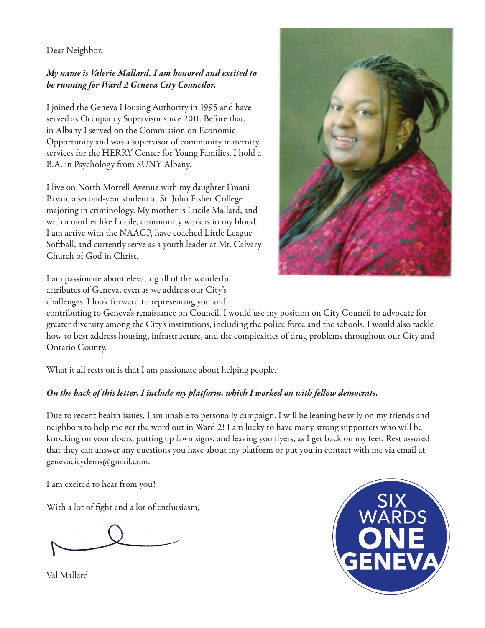### Dear Neighbor,

# *My name is Valerie Mallard. I am honored and excited to be running for Ward 2 Geneva City Councilor.*

I joined the Geneva Housing Authority in 1995 and have served as Occupancy Supervisor since 2011. Before that, in Albany I served on the Commission on Economic Opportunity and was a supervisor of community maternity services for the HERRY Center for Young Families. I hold a B.A. in Psychology from SUNY Albany.

I live on North Morrell Avenue with my daughter I'mani Bryan, a second-year student at St. John Fisher College majoring in criminology. My mother is Lucile Mallard, and with a mother like Lucile, community work is in my blood. I am active with the NAACP, have coached Little League Softball, and currently serve as a youth leader at Mt. Calvary Church of God in Christ.

I am passionate about elevating all of the wonderful attributes of Geneva, even as we address our City's challenges. I look forward to representing you and

contributing to Geneva's renaissance on Council. I would use my position on City Council to advocate for greater diversity among the City's institutions, including the police force and the schools. I would also tackle how to best address housing, infrastructure, and the complexities of drug problems throughout our City and Ontario County.

What it all rests on is that I am passionate about helping people.

# *On the back of this letter, I include my platform, which I worked on with fellow democrats.*

Due to recent health issues, I am unable to personally campaign. I will be leaning heavily on my friends and neighbors to help me get the word out in Ward 2! I am lucky to have many strong supporters who will be knocking on your doors, putting up lawn signs, and leaving you flyers, as I get back on my feet. Rest assured that they can answer any questions you have about my platform or put you in contact with me via email at genevacitydems@gmail.com.

I am excited to hear from you!

With a lot of fight and a lot of enthusiasm,

Val Mallard